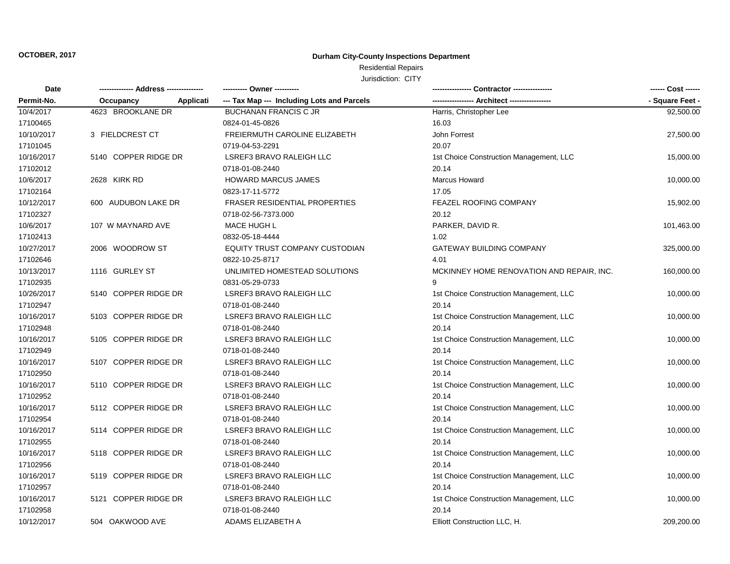# Residential Repairs

| <b>Date</b> |                      |           |                                            |                                           | ------ Cost ------ |
|-------------|----------------------|-----------|--------------------------------------------|-------------------------------------------|--------------------|
| Permit-No.  | Occupancy            | Applicati | --- Tax Map --- Including Lots and Parcels |                                           | - Square Feet -    |
| 10/4/2017   | 4623 BROOKLANE DR    |           | <b>BUCHANAN FRANCIS C JR</b>               | Harris, Christopher Lee                   | 92,500.00          |
| 17100465    |                      |           | 0824-01-45-0826                            | 16.03                                     |                    |
| 10/10/2017  | 3 FIELDCREST CT      |           | FREIERMUTH CAROLINE ELIZABETH              | John Forrest                              | 27,500.00          |
| 17101045    |                      |           | 0719-04-53-2291                            | 20.07                                     |                    |
| 10/16/2017  | 5140 COPPER RIDGE DR |           | LSREF3 BRAVO RALEIGH LLC                   | 1st Choice Construction Management, LLC   | 15,000.00          |
| 17102012    |                      |           | 0718-01-08-2440                            | 20.14                                     |                    |
| 10/6/2017   | 2628 KIRK RD         |           | <b>HOWARD MARCUS JAMES</b>                 | Marcus Howard                             | 10,000.00          |
| 17102164    |                      |           | 0823-17-11-5772                            | 17.05                                     |                    |
| 10/12/2017  | 600 AUDUBON LAKE DR  |           | <b>FRASER RESIDENTIAL PROPERTIES</b>       | FEAZEL ROOFING COMPANY                    | 15,902.00          |
| 17102327    |                      |           | 0718-02-56-7373.000                        | 20.12                                     |                    |
| 10/6/2017   | 107 W MAYNARD AVE    |           | <b>MACE HUGH L</b>                         | PARKER, DAVID R.                          | 101,463.00         |
| 17102413    |                      |           | 0832-05-18-4444                            | 1.02                                      |                    |
| 10/27/2017  | 2006 WOODROW ST      |           | EQUITY TRUST COMPANY CUSTODIAN             | GATEWAY BUILDING COMPANY                  | 325,000.00         |
| 17102646    |                      |           | 0822-10-25-8717                            | 4.01                                      |                    |
| 10/13/2017  | 1116 GURLEY ST       |           | UNLIMITED HOMESTEAD SOLUTIONS              | MCKINNEY HOME RENOVATION AND REPAIR, INC. | 160,000.00         |
| 17102935    |                      |           | 0831-05-29-0733                            |                                           |                    |
| 10/26/2017  | 5140 COPPER RIDGE DR |           | LSREF3 BRAVO RALEIGH LLC                   | 1st Choice Construction Management, LLC   | 10,000.00          |
| 17102947    |                      |           | 0718-01-08-2440                            | 20.14                                     |                    |
| 10/16/2017  | 5103 COPPER RIDGE DR |           | LSREF3 BRAVO RALEIGH LLC                   | 1st Choice Construction Management, LLC   | 10,000.00          |
| 17102948    |                      |           | 0718-01-08-2440                            | 20.14                                     |                    |
| 10/16/2017  | 5105 COPPER RIDGE DR |           | LSREF3 BRAVO RALEIGH LLC                   | 1st Choice Construction Management, LLC   | 10,000.00          |
| 17102949    |                      |           | 0718-01-08-2440                            | 20.14                                     |                    |
| 10/16/2017  | 5107 COPPER RIDGE DR |           | LSREF3 BRAVO RALEIGH LLC                   | 1st Choice Construction Management, LLC   | 10,000.00          |
| 17102950    |                      |           | 0718-01-08-2440                            | 20.14                                     |                    |
| 10/16/2017  | 5110 COPPER RIDGE DR |           | LSREF3 BRAVO RALEIGH LLC                   | 1st Choice Construction Management, LLC   | 10,000.00          |
| 17102952    |                      |           | 0718-01-08-2440                            | 20.14                                     |                    |
| 10/16/2017  | 5112 COPPER RIDGE DR |           | LSREF3 BRAVO RALEIGH LLC                   | 1st Choice Construction Management, LLC   | 10,000.00          |
| 17102954    |                      |           | 0718-01-08-2440                            | 20.14                                     |                    |
| 10/16/2017  | 5114 COPPER RIDGE DR |           | LSREF3 BRAVO RALEIGH LLC                   | 1st Choice Construction Management, LLC   | 10,000.00          |
| 17102955    |                      |           | 0718-01-08-2440                            | 20.14                                     |                    |
| 10/16/2017  | 5118 COPPER RIDGE DR |           | LSREF3 BRAVO RALEIGH LLC                   | 1st Choice Construction Management, LLC   | 10,000.00          |
| 17102956    |                      |           | 0718-01-08-2440                            | 20.14                                     |                    |
| 10/16/2017  | 5119 COPPER RIDGE DR |           | <b>LSREF3 BRAVO RALEIGH LLC</b>            | 1st Choice Construction Management, LLC   | 10,000.00          |
| 17102957    |                      |           | 0718-01-08-2440                            | 20.14                                     |                    |
| 10/16/2017  | 5121 COPPER RIDGE DR |           | LSREF3 BRAVO RALEIGH LLC                   | 1st Choice Construction Management, LLC   | 10,000.00          |
| 17102958    |                      |           | 0718-01-08-2440                            | 20.14                                     |                    |
| 10/12/2017  | 504 OAKWOOD AVE      |           | ADAMS ELIZABETH A                          | Elliott Construction LLC, H.              | 209,200.00         |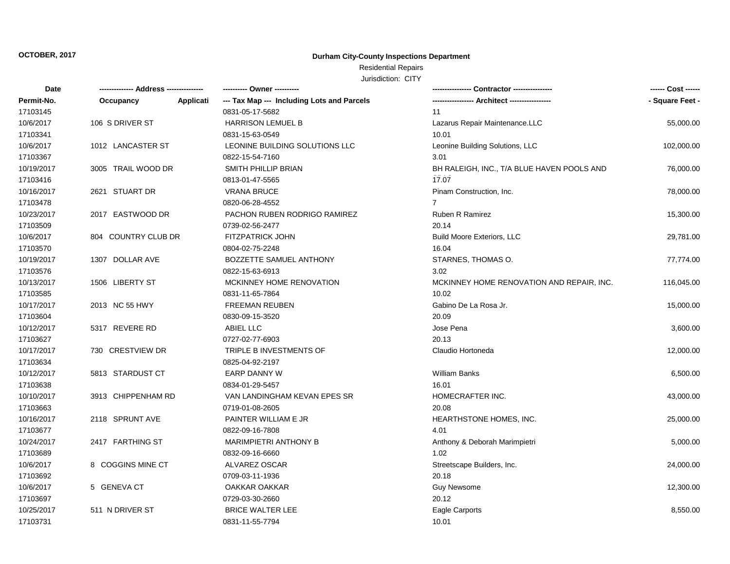## Residential Repairs

| Date       | -------------- Address --------------- |           | ---------- Owner ----------                |                                            |                 |
|------------|----------------------------------------|-----------|--------------------------------------------|--------------------------------------------|-----------------|
| Permit-No. | Occupancy                              | Applicati | --- Tax Map --- Including Lots and Parcels |                                            | - Square Feet - |
| 17103145   |                                        |           | 0831-05-17-5682                            | 11                                         |                 |
| 10/6/2017  | 106 S DRIVER ST                        |           | <b>HARRISON LEMUEL B</b>                   | Lazarus Repair Maintenance.LLC             | 55,000.00       |
| 17103341   |                                        |           | 0831-15-63-0549                            | 10.01                                      |                 |
| 10/6/2017  | 1012 LANCASTER ST                      |           | LEONINE BUILDING SOLUTIONS LLC             | Leonine Building Solutions, LLC            | 102,000.00      |
| 17103367   |                                        |           | 0822-15-54-7160                            | 3.01                                       |                 |
| 10/19/2017 | 3005 TRAIL WOOD DR                     |           | SMITH PHILLIP BRIAN                        | BH RALEIGH, INC., T/A BLUE HAVEN POOLS AND | 76,000.00       |
| 17103416   |                                        |           | 0813-01-47-5565                            | 17.07                                      |                 |
| 10/16/2017 | 2621 STUART DR                         |           | <b>VRANA BRUCE</b>                         | Pinam Construction, Inc.                   | 78,000.00       |
| 17103478   |                                        |           | 0820-06-28-4552                            | $\overline{7}$                             |                 |
| 10/23/2017 | 2017 EASTWOOD DR                       |           | PACHON RUBEN RODRIGO RAMIREZ               | <b>Ruben R Ramirez</b>                     | 15,300.00       |
| 17103509   |                                        |           | 0739-02-56-2477                            | 20.14                                      |                 |
| 10/6/2017  | 804 COUNTRY CLUB DR                    |           | <b>FITZPATRICK JOHN</b>                    | <b>Build Moore Exteriors, LLC</b>          | 29,781.00       |
| 17103570   |                                        |           | 0804-02-75-2248                            | 16.04                                      |                 |
| 10/19/2017 | 1307 DOLLAR AVE                        |           | <b>BOZZETTE SAMUEL ANTHONY</b>             | STARNES, THOMAS O.                         | 77,774.00       |
| 17103576   |                                        |           | 0822-15-63-6913                            | 3.02                                       |                 |
| 10/13/2017 | 1506 LIBERTY ST                        |           | MCKINNEY HOME RENOVATION                   | MCKINNEY HOME RENOVATION AND REPAIR, INC.  | 116,045.00      |
| 17103585   |                                        |           | 0831-11-65-7864                            | 10.02                                      |                 |
| 10/17/2017 | 2013 NC 55 HWY                         |           | <b>FREEMAN REUBEN</b>                      | Gabino De La Rosa Jr.                      | 15,000.00       |
| 17103604   |                                        |           | 0830-09-15-3520                            | 20.09                                      |                 |
| 10/12/2017 | 5317 REVERE RD                         |           | ABIEL LLC                                  | Jose Pena                                  | 3,600.00        |
| 17103627   |                                        |           | 0727-02-77-6903                            | 20.13                                      |                 |
| 10/17/2017 | 730 CRESTVIEW DR                       |           | TRIPLE B INVESTMENTS OF                    | Claudio Hortoneda                          | 12,000.00       |
| 17103634   |                                        |           | 0825-04-92-2197                            |                                            |                 |
| 10/12/2017 | 5813 STARDUST CT                       |           | <b>EARP DANNY W</b>                        | <b>William Banks</b>                       | 6,500.00        |
| 17103638   |                                        |           | 0834-01-29-5457                            | 16.01                                      |                 |
| 10/10/2017 | 3913 CHIPPENHAM RD                     |           | VAN LANDINGHAM KEVAN EPES SR               | HOMECRAFTER INC.                           | 43,000.00       |
| 17103663   |                                        |           | 0719-01-08-2605                            | 20.08                                      |                 |
| 10/16/2017 | 2118 SPRUNT AVE                        |           | PAINTER WILLIAM E JR                       | HEARTHSTONE HOMES, INC.                    | 25,000.00       |
| 17103677   |                                        |           | 0822-09-16-7808                            | 4.01                                       |                 |
| 10/24/2017 | 2417 FARTHING ST                       |           | <b>MARIMPIETRI ANTHONY B</b>               | Anthony & Deborah Marimpietri              | 5,000.00        |
| 17103689   |                                        |           | 0832-09-16-6660                            | 1.02                                       |                 |
| 10/6/2017  | 8 COGGINS MINE CT                      |           | ALVAREZ OSCAR                              | Streetscape Builders, Inc.                 | 24,000.00       |
| 17103692   |                                        |           | 0709-03-11-1936                            | 20.18                                      |                 |
| 10/6/2017  | 5 GENEVA CT                            |           | OAKKAR OAKKAR                              | <b>Guy Newsome</b>                         | 12,300.00       |
| 17103697   |                                        |           | 0729-03-30-2660                            | 20.12                                      |                 |
| 10/25/2017 | 511 N DRIVER ST                        |           | <b>BRICE WALTER LEE</b>                    | Eagle Carports                             | 8,550.00        |
| 17103731   |                                        |           | 0831-11-55-7794                            | 10.01                                      |                 |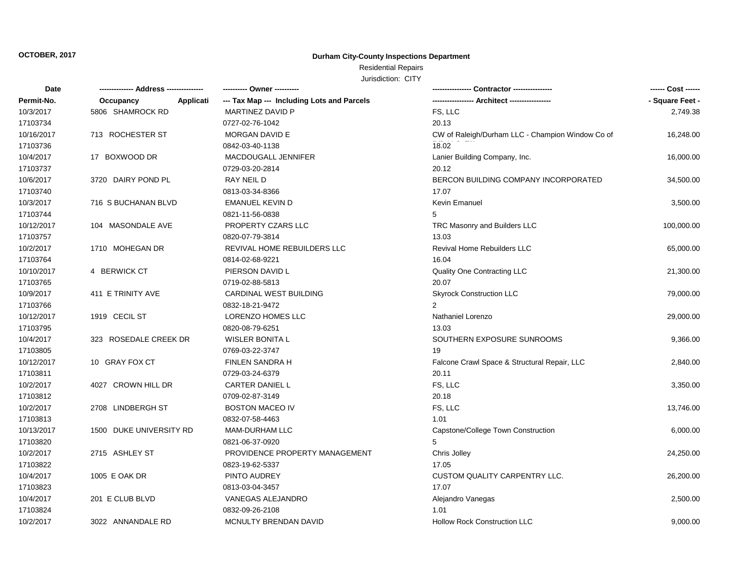## Residential Repairs

| Date       | -------------- Address --------------- | ---------- Owner ----------                |                                                  | ------ Cost ------ |
|------------|----------------------------------------|--------------------------------------------|--------------------------------------------------|--------------------|
| Permit-No. | Applicati<br>Occupancy                 | --- Tax Map --- Including Lots and Parcels |                                                  | - Square Feet -    |
| 10/3/2017  | 5806 SHAMROCK RD                       | MARTINEZ DAVID P                           | FS, LLC                                          | 2,749.38           |
| 17103734   |                                        | 0727-02-76-1042                            | 20.13                                            |                    |
| 10/16/2017 | 713 ROCHESTER ST                       | <b>MORGAN DAVID E</b>                      | CW of Raleigh/Durham LLC - Champion Window Co of | 16,248.00          |
| 17103736   |                                        | 0842-03-40-1138                            | 18.02                                            |                    |
| 10/4/2017  | 17 BOXWOOD DR                          | MACDOUGALL JENNIFER                        | Lanier Building Company, Inc.                    | 16,000.00          |
| 17103737   |                                        | 0729-03-20-2814                            | 20.12                                            |                    |
| 10/6/2017  | 3720 DAIRY POND PL                     | RAY NEIL D                                 | BERCON BUILDING COMPANY INCORPORATED             | 34,500.00          |
| 17103740   |                                        | 0813-03-34-8366                            | 17.07                                            |                    |
| 10/3/2017  | 716 S BUCHANAN BLVD                    | <b>EMANUEL KEVIN D</b>                     | Kevin Emanuel                                    | 3,500.00           |
| 17103744   |                                        | 0821-11-56-0838                            | 5                                                |                    |
| 10/12/2017 | 104 MASONDALE AVE                      | PROPERTY CZARS LLC                         | TRC Masonry and Builders LLC                     | 100,000.00         |
| 17103757   |                                        | 0820-07-79-3814                            | 13.03                                            |                    |
| 10/2/2017  | 1710 MOHEGAN DR                        | REVIVAL HOME REBUILDERS LLC                | <b>Revival Home Rebuilders LLC</b>               | 65,000.00          |
| 17103764   |                                        | 0814-02-68-9221                            | 16.04                                            |                    |
| 10/10/2017 | 4 BERWICK CT                           | PIERSON DAVID L                            | Quality One Contracting LLC                      | 21,300.00          |
| 17103765   |                                        | 0719-02-88-5813                            | 20.07                                            |                    |
| 10/9/2017  | 411 E TRINITY AVE                      | CARDINAL WEST BUILDING                     | <b>Skyrock Construction LLC</b>                  | 79,000.00          |
| 17103766   |                                        | 0832-18-21-9472                            | 2                                                |                    |
| 10/12/2017 | 1919 CECIL ST                          | LORENZO HOMES LLC                          | Nathaniel Lorenzo                                | 29,000.00          |
| 17103795   |                                        | 0820-08-79-6251                            | 13.03                                            |                    |
| 10/4/2017  | 323 ROSEDALE CREEK DR                  | <b>WISLER BONITA L</b>                     | SOUTHERN EXPOSURE SUNROOMS                       | 9,366.00           |
| 17103805   |                                        | 0769-03-22-3747                            | 19                                               |                    |
| 10/12/2017 | 10 GRAY FOX CT                         | FINLEN SANDRA H                            | Falcone Crawl Space & Structural Repair, LLC     | 2,840.00           |
| 17103811   |                                        | 0729-03-24-6379                            | 20.11                                            |                    |
| 10/2/2017  | 4027 CROWN HILL DR                     | CARTER DANIEL L                            | FS, LLC                                          | 3,350.00           |
| 17103812   |                                        | 0709-02-87-3149                            | 20.18                                            |                    |
| 10/2/2017  | 2708 LINDBERGH ST                      | <b>BOSTON MACEO IV</b>                     | FS, LLC                                          | 13,746.00          |
| 17103813   |                                        | 0832-07-58-4463                            | 1.01                                             |                    |
| 10/13/2017 | 1500 DUKE UNIVERSITY RD                | MAM-DURHAM LLC                             | Capstone/College Town Construction               | 6,000.00           |
| 17103820   |                                        | 0821-06-37-0920                            | 5                                                |                    |
| 10/2/2017  | 2715 ASHLEY ST                         | PROVIDENCE PROPERTY MANAGEMENT             | Chris Jolley                                     | 24,250.00          |
| 17103822   |                                        | 0823-19-62-5337                            | 17.05                                            |                    |
| 10/4/2017  | 1005 E OAK DR                          | PINTO AUDREY                               | CUSTOM QUALITY CARPENTRY LLC.                    | 26,200.00          |
| 17103823   |                                        | 0813-03-04-3457                            | 17.07                                            |                    |
| 10/4/2017  | 201 E CLUB BLVD                        | VANEGAS ALEJANDRO                          | Alejandro Vanegas                                | 2,500.00           |
| 17103824   |                                        | 0832-09-26-2108                            | 1.01                                             |                    |
| 10/2/2017  | 3022 ANNANDALE RD                      | MCNULTY BRENDAN DAVID                      | <b>Hollow Rock Construction LLC</b>              | 9,000.00           |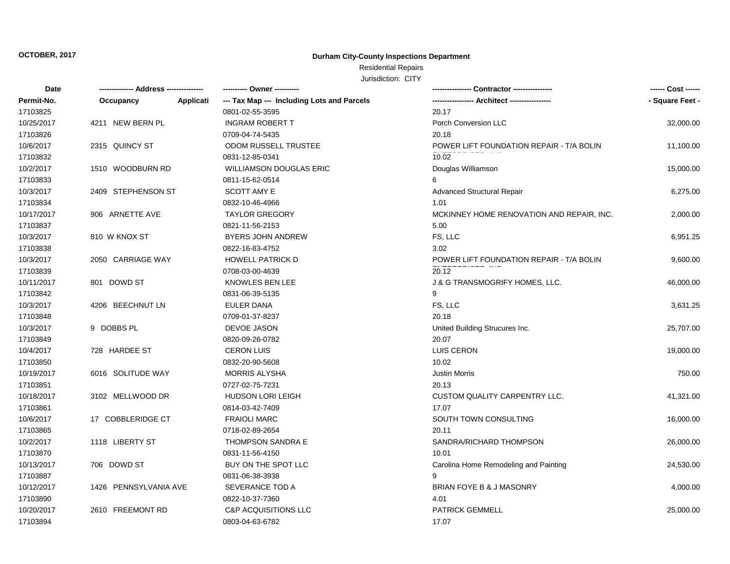## Residential Repairs

| Date       | -------------- Address --------------- |           | --------- Owner ---------                  |                                           | ------ Cost ------ |
|------------|----------------------------------------|-----------|--------------------------------------------|-------------------------------------------|--------------------|
| Permit-No. | Occupancy                              | Applicati | --- Tax Map --- Including Lots and Parcels |                                           | - Square Feet -    |
| 17103825   |                                        |           | 0801-02-55-3595                            | 20.17                                     |                    |
| 10/25/2017 | 4211 NEW BERN PL                       |           | <b>INGRAM ROBERT T</b>                     | Porch Conversion LLC                      | 32,000.00          |
| 17103826   |                                        |           | 0709-04-74-5435                            | 20.18                                     |                    |
| 10/6/2017  | 2315 QUINCY ST                         |           | <b>ODOM RUSSELL TRUSTEE</b>                | POWER LIFT FOUNDATION REPAIR - T/A BOLIN  | 11,100.00          |
| 17103832   |                                        |           | 0831-12-85-0341                            | 10.02                                     |                    |
| 10/2/2017  | 1510 WOODBURN RD                       |           | <b>WILLIAMSON DOUGLAS ERIC</b>             | Douglas Williamson                        | 15,000.00          |
| 17103833   |                                        |           | 0811-15-62-0514                            | 6                                         |                    |
| 10/3/2017  | 2409 STEPHENSON ST                     |           | SCOTT AMY E                                | <b>Advanced Structural Repair</b>         | 6,275.00           |
| 17103834   |                                        |           | 0832-10-46-4966                            | 1.01                                      |                    |
| 10/17/2017 | 906 ARNETTE AVE                        |           | <b>TAYLOR GREGORY</b>                      | MCKINNEY HOME RENOVATION AND REPAIR, INC. | 2,000.00           |
| 17103837   |                                        |           | 0821-11-56-2153                            | 5.00                                      |                    |
| 10/3/2017  | 810 W KNOX ST                          |           | <b>BYERS JOHN ANDREW</b>                   | FS, LLC                                   | 6,951.25           |
| 17103838   |                                        |           | 0822-16-83-4752                            | 3.02                                      |                    |
| 10/3/2017  | 2050 CARRIAGE WAY                      |           | <b>HOWELL PATRICK D</b>                    | POWER LIFT FOUNDATION REPAIR - T/A BOLIN  | 9,600.00           |
| 17103839   |                                        |           | 0708-03-00-4639                            | 20.12                                     |                    |
| 10/11/2017 | 801 DOWD ST                            |           | KNOWLES BEN LEE                            | <b>J &amp; G TRANSMOGRIFY HOMES, LLC.</b> | 46,000.00          |
| 17103842   |                                        |           | 0831-06-39-5135                            | g                                         |                    |
| 10/3/2017  | 4206 BEECHNUT LN                       |           | <b>EULER DANA</b>                          | FS, LLC                                   | 3,631.25           |
| 17103848   |                                        |           | 0709-01-37-8237                            | 20.18                                     |                    |
| 10/3/2017  | 9 DOBBS PL                             |           | <b>DEVOE JASON</b>                         | United Building Strucures Inc.            | 25,707.00          |
| 17103849   |                                        |           | 0820-09-26-0782                            | 20.07                                     |                    |
| 10/4/2017  | 728 HARDEE ST                          |           | <b>CERON LUIS</b>                          | LUIS CERON                                | 19,000.00          |
| 17103850   |                                        |           | 0832-20-90-5608                            | 10.02                                     |                    |
| 10/19/2017 | 6016 SOLITUDE WAY                      |           | <b>MORRIS ALYSHA</b>                       | <b>Justin Morris</b>                      | 750.00             |
| 17103851   |                                        |           | 0727-02-75-7231                            | 20.13                                     |                    |
| 10/18/2017 | 3102 MELLWOOD DR                       |           | <b>HUDSON LORI LEIGH</b>                   | <b>CUSTOM QUALITY CARPENTRY LLC.</b>      | 41,321.00          |
| 17103861   |                                        |           | 0814-03-42-7409                            | 17.07                                     |                    |
| 10/6/2017  | 17 COBBLERIDGE CT                      |           | <b>FRAIOLI MARC</b>                        | SOUTH TOWN CONSULTING                     | 16,000.00          |
| 17103865   |                                        |           | 0718-02-89-2654                            | 20.11                                     |                    |
| 10/2/2017  | 1118 LIBERTY ST                        |           | <b>THOMPSON SANDRA E</b>                   | SANDRA/RICHARD THOMPSON                   | 26,000.00          |
| 17103870   |                                        |           | 0831-11-56-4150                            | 10.01                                     |                    |
| 10/13/2017 | 706 DOWD ST                            |           | BUY ON THE SPOT LLC                        | Carolina Home Remodeling and Painting     | 24,530.00          |
| 17103887   |                                        |           | 0831-06-38-3938                            | 9                                         |                    |
| 10/12/2017 | 1426 PENNSYLVANIA AVE                  |           | SEVERANCE TOD A                            | BRIAN FOYE B & J MASONRY                  | 4,000.00           |
| 17103890   |                                        |           | 0822-10-37-7360                            | 4.01                                      |                    |
| 10/20/2017 | 2610 FREEMONT RD                       |           | <b>C&amp;P ACQUISITIONS LLC</b>            | <b>PATRICK GEMMELL</b>                    | 25,000.00          |
| 17103894   |                                        |           | 0803-04-63-6782                            | 17.07                                     |                    |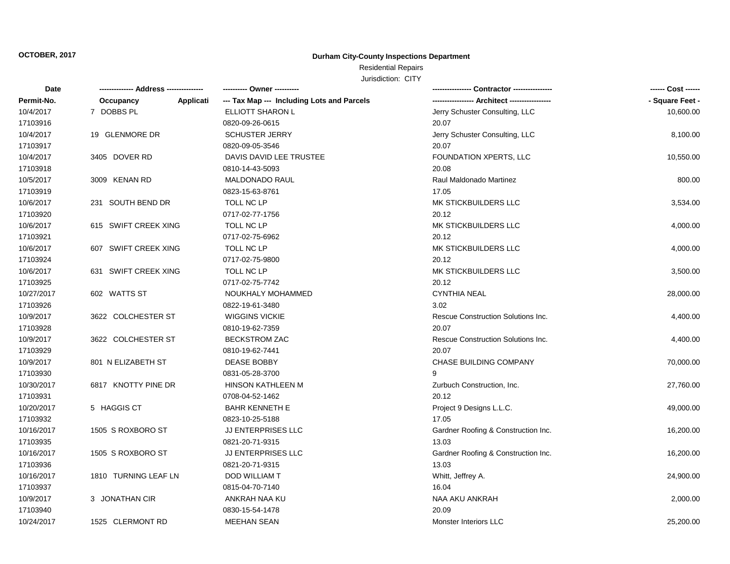## Residential Repairs

| Date       |                      | ---------- Owner ----------                             |                                     | ------ Cost ------ |
|------------|----------------------|---------------------------------------------------------|-------------------------------------|--------------------|
| Permit-No. | Occupancy            | Applicati<br>--- Tax Map --- Including Lots and Parcels |                                     | - Square Feet -    |
| 10/4/2017  | 7 DOBBS PL           | ELLIOTT SHARON L                                        | Jerry Schuster Consulting, LLC      | 10,600.00          |
| 17103916   |                      | 0820-09-26-0615                                         | 20.07                               |                    |
| 10/4/2017  | 19 GLENMORE DR       | <b>SCHUSTER JERRY</b>                                   | Jerry Schuster Consulting, LLC      | 8,100.00           |
| 17103917   |                      | 0820-09-05-3546                                         | 20.07                               |                    |
| 10/4/2017  | 3405 DOVER RD        | DAVIS DAVID LEE TRUSTEE                                 | FOUNDATION XPERTS, LLC              | 10,550.00          |
| 17103918   |                      | 0810-14-43-5093                                         | 20.08                               |                    |
| 10/5/2017  | 3009 KENAN RD        | <b>MALDONADO RAUL</b>                                   | Raul Maldonado Martinez             | 800.00             |
| 17103919   |                      | 0823-15-63-8761                                         | 17.05                               |                    |
| 10/6/2017  | 231 SOUTH BEND DR    | TOLL NC LP                                              | MK STICKBUILDERS LLC                | 3,534.00           |
| 17103920   |                      | 0717-02-77-1756                                         | 20.12                               |                    |
| 10/6/2017  | 615 SWIFT CREEK XING | TOLL NC LP                                              | MK STICKBUILDERS LLC                | 4,000.00           |
| 17103921   |                      | 0717-02-75-6962                                         | 20.12                               |                    |
| 10/6/2017  | 607 SWIFT CREEK XING | TOLL NC LP                                              | MK STICKBUILDERS LLC                | 4,000.00           |
| 17103924   |                      | 0717-02-75-9800                                         | 20.12                               |                    |
| 10/6/2017  | 631 SWIFT CREEK XING | TOLL NC LP                                              | MK STICKBUILDERS LLC                | 3,500.00           |
| 17103925   |                      | 0717-02-75-7742                                         | 20.12                               |                    |
| 10/27/2017 | 602 WATTS ST         | NOUKHALY MOHAMMED                                       | <b>CYNTHIA NEAL</b>                 | 28,000.00          |
| 17103926   |                      | 0822-19-61-3480                                         | 3.02                                |                    |
| 10/9/2017  | 3622 COLCHESTER ST   | <b>WIGGINS VICKIE</b>                                   | Rescue Construction Solutions Inc.  | 4,400.00           |
| 17103928   |                      | 0810-19-62-7359                                         | 20.07                               |                    |
| 10/9/2017  | 3622 COLCHESTER ST   | <b>BECKSTROM ZAC</b>                                    | Rescue Construction Solutions Inc.  | 4,400.00           |
| 17103929   |                      | 0810-19-62-7441                                         | 20.07                               |                    |
| 10/9/2017  | 801 N ELIZABETH ST   | <b>DEASE BOBBY</b>                                      | <b>CHASE BUILDING COMPANY</b>       | 70,000.00          |
| 17103930   |                      | 0831-05-28-3700                                         | q                                   |                    |
| 10/30/2017 | 6817 KNOTTY PINE DR  | HINSON KATHLEEN M                                       | Zurbuch Construction, Inc.          | 27,760.00          |
| 17103931   |                      | 0708-04-52-1462                                         | 20.12                               |                    |
| 10/20/2017 | 5 HAGGIS CT          | <b>BAHR KENNETH E</b>                                   | Project 9 Designs L.L.C.            | 49,000.00          |
| 17103932   |                      | 0823-10-25-5188                                         | 17.05                               |                    |
| 10/16/2017 | 1505 S ROXBORO ST    | JJ ENTERPRISES LLC                                      | Gardner Roofing & Construction Inc. | 16,200.00          |
| 17103935   |                      | 0821-20-71-9315                                         | 13.03                               |                    |
| 10/16/2017 | 1505 S ROXBORO ST    | JJ ENTERPRISES LLC                                      | Gardner Roofing & Construction Inc. | 16,200.00          |
| 17103936   |                      | 0821-20-71-9315                                         | 13.03                               |                    |
| 10/16/2017 | 1810 TURNING LEAF LN | DOD WILLIAM T                                           | Whitt, Jeffrey A.                   | 24,900.00          |
| 17103937   |                      | 0815-04-70-7140                                         | 16.04                               |                    |
| 10/9/2017  | 3 JONATHAN CIR       | ANKRAH NAA KU                                           | NAA AKU ANKRAH                      | 2,000.00           |
| 17103940   |                      | 0830-15-54-1478                                         | 20.09                               |                    |
| 10/24/2017 | 1525 CLERMONT RD     | <b>MEEHAN SEAN</b>                                      | <b>Monster Interiors LLC</b>        | 25,200.00          |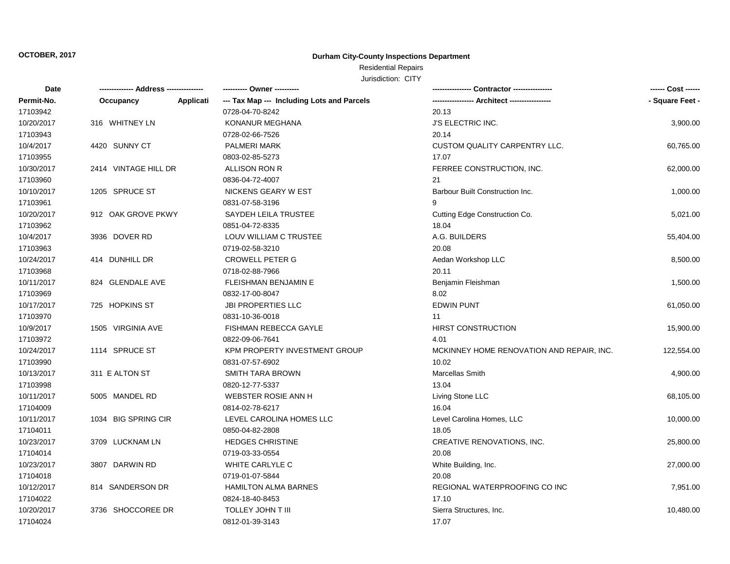## Residential Repairs

| Date       | -------------- Address --------------- |           | ---------- Owner ----------                |                                           | ------ Cost ------ |
|------------|----------------------------------------|-----------|--------------------------------------------|-------------------------------------------|--------------------|
| Permit-No. | Occupancy                              | Applicati | --- Tax Map --- Including Lots and Parcels |                                           | - Square Feet -    |
| 17103942   |                                        |           | 0728-04-70-8242                            | 20.13                                     |                    |
| 10/20/2017 | 316 WHITNEY LN                         |           | <b>KONANUR MEGHANA</b>                     | <b>J'S ELECTRIC INC.</b>                  | 3,900.00           |
| 17103943   |                                        |           | 0728-02-66-7526                            | 20.14                                     |                    |
| 10/4/2017  | 4420 SUNNY CT                          |           | <b>PALMERI MARK</b>                        | CUSTOM QUALITY CARPENTRY LLC.             | 60,765.00          |
| 17103955   |                                        |           | 0803-02-85-5273                            | 17.07                                     |                    |
| 10/30/2017 | 2414 VINTAGE HILL DR                   |           | ALLISON RON R                              | FERREE CONSTRUCTION, INC.                 | 62,000.00          |
| 17103960   |                                        |           | 0836-04-72-4007                            | 21                                        |                    |
| 10/10/2017 | 1205 SPRUCE ST                         |           | NICKENS GEARY W EST                        | Barbour Built Construction Inc.           | 1,000.00           |
| 17103961   |                                        |           | 0831-07-58-3196                            | 9                                         |                    |
| 10/20/2017 | 912 OAK GROVE PKWY                     |           | SAYDEH LEILA TRUSTEE                       | Cutting Edge Construction Co.             | 5,021.00           |
| 17103962   |                                        |           | 0851-04-72-8335                            | 18.04                                     |                    |
| 10/4/2017  | 3936 DOVER RD                          |           | LOUV WILLIAM C TRUSTEE                     | A.G. BUILDERS                             | 55,404.00          |
| 17103963   |                                        |           | 0719-02-58-3210                            | 20.08                                     |                    |
| 10/24/2017 | 414 DUNHILL DR                         |           | <b>CROWELL PETER G</b>                     | Aedan Workshop LLC                        | 8,500.00           |
| 17103968   |                                        |           | 0718-02-88-7966                            | 20.11                                     |                    |
| 10/11/2017 | 824 GLENDALE AVE                       |           | <b>FLEISHMAN BENJAMIN E</b>                | Benjamin Fleishman                        | 1,500.00           |
| 17103969   |                                        |           | 0832-17-00-8047                            | 8.02                                      |                    |
| 10/17/2017 | 725 HOPKINS ST                         |           | <b>JBI PROPERTIES LLC</b>                  | <b>EDWIN PUNT</b>                         | 61,050.00          |
| 17103970   |                                        |           | 0831-10-36-0018                            | 11                                        |                    |
| 10/9/2017  | 1505 VIRGINIA AVE                      |           | <b>FISHMAN REBECCA GAYLE</b>               | <b>HIRST CONSTRUCTION</b>                 | 15,900.00          |
| 17103972   |                                        |           | 0822-09-06-7641                            | 4.01                                      |                    |
| 10/24/2017 | 1114 SPRUCE ST                         |           | KPM PROPERTY INVESTMENT GROUP              | MCKINNEY HOME RENOVATION AND REPAIR, INC. | 122,554.00         |
| 17103990   |                                        |           | 0831-07-57-6902                            | 10.02                                     |                    |
| 10/13/2017 | 311 E ALTON ST                         |           | <b>SMITH TARA BROWN</b>                    | Marcellas Smith                           | 4,900.00           |
| 17103998   |                                        |           | 0820-12-77-5337                            | 13.04                                     |                    |
| 10/11/2017 | 5005 MANDEL RD                         |           | <b>WEBSTER ROSIE ANN H</b>                 | Living Stone LLC                          | 68,105.00          |
| 17104009   |                                        |           | 0814-02-78-6217                            | 16.04                                     |                    |
| 10/11/2017 | 1034 BIG SPRING CIR                    |           | LEVEL CAROLINA HOMES LLC                   | Level Carolina Homes, LLC                 | 10,000.00          |
| 17104011   |                                        |           | 0850-04-82-2808                            | 18.05                                     |                    |
| 10/23/2017 | 3709 LUCKNAM LN                        |           | <b>HEDGES CHRISTINE</b>                    | CREATIVE RENOVATIONS, INC.                | 25,800.00          |
| 17104014   |                                        |           | 0719-03-33-0554                            | 20.08                                     |                    |
| 10/23/2017 | 3807 DARWIN RD                         |           | WHITE CARLYLE C                            | White Building, Inc.                      | 27,000.00          |
| 17104018   |                                        |           | 0719-01-07-5844                            | 20.08                                     |                    |
| 10/12/2017 | 814 SANDERSON DR                       |           | <b>HAMILTON ALMA BARNES</b>                | REGIONAL WATERPROOFING CO INC             | 7,951.00           |
| 17104022   |                                        |           | 0824-18-40-8453                            | 17.10                                     |                    |
| 10/20/2017 | 3736 SHOCCOREE DR                      |           | <b>TOLLEY JOHN T III</b>                   | Sierra Structures, Inc.                   | 10,480.00          |
| 17104024   |                                        |           | 0812-01-39-3143                            | 17.07                                     |                    |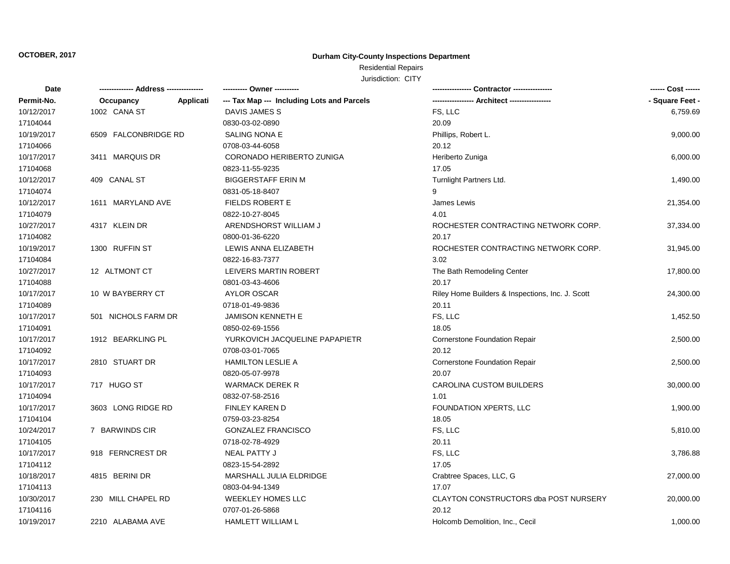## Residential Repairs

| Date       |                      |           | ---------- Owner ----------                |                                                  | ------ Cost ------ |
|------------|----------------------|-----------|--------------------------------------------|--------------------------------------------------|--------------------|
| Permit-No. | Occupancy            | Applicati | --- Tax Map --- Including Lots and Parcels |                                                  | - Square Feet -    |
| 10/12/2017 | 1002 CANA ST         |           | DAVIS JAMES S                              | FS, LLC                                          | 6,759.69           |
| 17104044   |                      |           | 0830-03-02-0890                            | 20.09                                            |                    |
| 10/19/2017 | 6509 FALCONBRIDGE RD |           | SALING NONA E                              | Phillips, Robert L.                              | 9,000.00           |
| 17104066   |                      |           | 0708-03-44-6058                            | 20.12                                            |                    |
| 10/17/2017 | 3411 MARQUIS DR      |           | CORONADO HERIBERTO ZUNIGA                  | Heriberto Zuniga                                 | 6,000.00           |
| 17104068   |                      |           | 0823-11-55-9235                            | 17.05                                            |                    |
| 10/12/2017 | 409 CANAL ST         |           | <b>BIGGERSTAFF ERIN M</b>                  | Turnlight Partners Ltd.                          | 1,490.00           |
| 17104074   |                      |           | 0831-05-18-8407                            | 9                                                |                    |
| 10/12/2017 | 1611 MARYLAND AVE    |           | <b>FIELDS ROBERT E</b>                     | James Lewis                                      | 21,354.00          |
| 17104079   |                      |           | 0822-10-27-8045                            | 4.01                                             |                    |
| 10/27/2017 | 4317 KLEIN DR        |           | ARENDSHORST WILLIAM J                      | ROCHESTER CONTRACTING NETWORK CORP.              | 37,334.00          |
| 17104082   |                      |           | 0800-01-36-6220                            | 20.17                                            |                    |
| 10/19/2017 | 1300 RUFFIN ST       |           | LEWIS ANNA ELIZABETH                       | ROCHESTER CONTRACTING NETWORK CORP.              | 31,945.00          |
| 17104084   |                      |           | 0822-16-83-7377                            | 3.02                                             |                    |
| 10/27/2017 | 12 ALTMONT CT        |           | LEIVERS MARTIN ROBERT                      | The Bath Remodeling Center                       | 17,800.00          |
| 17104088   |                      |           | 0801-03-43-4606                            | 20.17                                            |                    |
| 10/17/2017 | 10 W BAYBERRY CT     |           | <b>AYLOR OSCAR</b>                         | Riley Home Builders & Inspections, Inc. J. Scott | 24,300.00          |
| 17104089   |                      |           | 0718-01-49-9836                            | 20.11                                            |                    |
| 10/17/2017 | 501 NICHOLS FARM DR  |           | <b>JAMISON KENNETH E</b>                   | FS, LLC                                          | 1,452.50           |
| 17104091   |                      |           | 0850-02-69-1556                            | 18.05                                            |                    |
| 10/17/2017 | 1912 BEARKLING PL    |           | YURKOVICH JACQUELINE PAPAPIETR             | <b>Cornerstone Foundation Repair</b>             | 2,500.00           |
| 17104092   |                      |           | 0708-03-01-7065                            | 20.12                                            |                    |
| 10/17/2017 | 2810 STUART DR       |           | <b>HAMILTON LESLIE A</b>                   | <b>Cornerstone Foundation Repair</b>             | 2,500.00           |
| 17104093   |                      |           | 0820-05-07-9978                            | 20.07                                            |                    |
| 10/17/2017 | 717 HUGO ST          |           | <b>WARMACK DEREK R</b>                     | <b>CAROLINA CUSTOM BUILDERS</b>                  | 30,000.00          |
| 17104094   |                      |           | 0832-07-58-2516                            | 1.01                                             |                    |
| 10/17/2017 | 3603 LONG RIDGE RD   |           | FINLEY KAREN D                             | FOUNDATION XPERTS, LLC                           | 1,900.00           |
| 17104104   |                      |           | 0759-03-23-8254                            | 18.05                                            |                    |
| 10/24/2017 | 7 BARWINDS CIR       |           | <b>GONZALEZ FRANCISCO</b>                  | FS, LLC                                          | 5,810.00           |
| 17104105   |                      |           | 0718-02-78-4929                            | 20.11                                            |                    |
| 10/17/2017 | 918 FERNCREST DR     |           | NEAL PATTY J                               | FS, LLC                                          | 3,786.88           |
| 17104112   |                      |           | 0823-15-54-2892                            | 17.05                                            |                    |
| 10/18/2017 | 4815 BERINI DR       |           | MARSHALL JULIA ELDRIDGE                    | Crabtree Spaces, LLC, G                          | 27,000.00          |
| 17104113   |                      |           | 0803-04-94-1349                            | 17.07                                            |                    |
| 10/30/2017 | 230 MILL CHAPEL RD   |           | WEEKLEY HOMES LLC                          | CLAYTON CONSTRUCTORS dba POST NURSERY            | 20,000.00          |
| 17104116   |                      |           | 0707-01-26-5868                            | 20.12                                            |                    |
| 10/19/2017 | 2210 ALABAMA AVE     |           | <b>HAMLETT WILLIAM L</b>                   | Holcomb Demolition, Inc., Cecil                  | 1,000.00           |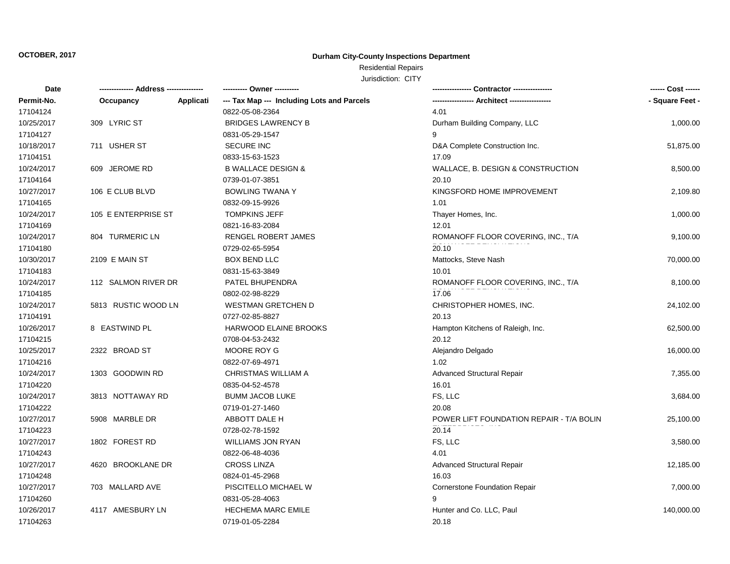## Residential Repairs

| Date       | -------------- Address -- | -------   | ---------- Owner ----------                |                                          | ------ Cost ------ |
|------------|---------------------------|-----------|--------------------------------------------|------------------------------------------|--------------------|
| Permit-No. | Occupancy                 | Applicati | --- Tax Map --- Including Lots and Parcels |                                          | - Square Feet -    |
| 17104124   |                           |           | 0822-05-08-2364                            | 4.01                                     |                    |
| 10/25/2017 | 309 LYRIC ST              |           | <b>BRIDGES LAWRENCY B</b>                  | Durham Building Company, LLC             | 1,000.00           |
| 17104127   |                           |           | 0831-05-29-1547                            | 9                                        |                    |
| 10/18/2017 | 711 USHER ST              |           | <b>SECURE INC</b>                          | D&A Complete Construction Inc.           | 51,875.00          |
| 17104151   |                           |           | 0833-15-63-1523                            | 17.09                                    |                    |
| 10/24/2017 | 609 JEROME RD             |           | <b>B WALLACE DESIGN &amp;</b>              | WALLACE, B. DESIGN & CONSTRUCTION        | 8,500.00           |
| 17104164   |                           |           | 0739-01-07-3851                            | 20.10                                    |                    |
| 10/27/2017 | 106 E CLUB BLVD           |           | <b>BOWLING TWANA Y</b>                     | KINGSFORD HOME IMPROVEMENT               | 2,109.80           |
| 17104165   |                           |           | 0832-09-15-9926                            | 1.01                                     |                    |
| 10/24/2017 | 105 E ENTERPRISE ST       |           | <b>TOMPKINS JEFF</b>                       | Thayer Homes, Inc.                       | 1,000.00           |
| 17104169   |                           |           | 0821-16-83-2084                            | 12.01                                    |                    |
| 10/24/2017 | 804 TURMERIC LN           |           | RENGEL ROBERT JAMES                        | ROMANOFF FLOOR COVERING, INC., T/A       | 9,100.00           |
| 17104180   |                           |           | 0729-02-65-5954                            | 20.10                                    |                    |
| 10/30/2017 | 2109 E MAIN ST            |           | <b>BOX BEND LLC</b>                        | Mattocks, Steve Nash                     | 70,000.00          |
| 17104183   |                           |           | 0831-15-63-3849                            | 10.01                                    |                    |
| 10/24/2017 | 112 SALMON RIVER DR       |           | PATEL BHUPENDRA                            | ROMANOFF FLOOR COVERING, INC., T/A       | 8,100.00           |
| 17104185   |                           |           | 0802-02-98-8229                            | 17.06                                    |                    |
| 10/24/2017 | 5813 RUSTIC WOOD LN       |           | <b>WESTMAN GRETCHEN D</b>                  | CHRISTOPHER HOMES, INC.                  | 24,102.00          |
| 17104191   |                           |           | 0727-02-85-8827                            | 20.13                                    |                    |
| 10/26/2017 | 8 EASTWIND PL             |           | HARWOOD ELAINE BROOKS                      | Hampton Kitchens of Raleigh, Inc.        | 62,500.00          |
| 17104215   |                           |           | 0708-04-53-2432                            | 20.12                                    |                    |
| 10/25/2017 | 2322 BROAD ST             |           | MOORE ROY G                                | Alejandro Delgado                        | 16,000.00          |
| 17104216   |                           |           | 0822-07-69-4971                            | 1.02                                     |                    |
| 10/24/2017 | 1303 GOODWIN RD           |           | CHRISTMAS WILLIAM A                        | <b>Advanced Structural Repair</b>        | 7,355.00           |
| 17104220   |                           |           | 0835-04-52-4578                            | 16.01                                    |                    |
| 10/24/2017 | 3813 NOTTAWAY RD          |           | <b>BUMM JACOB LUKE</b>                     | FS, LLC                                  | 3,684.00           |
| 17104222   |                           |           | 0719-01-27-1460                            | 20.08                                    |                    |
| 10/27/2017 | 5908 MARBLE DR            |           | ABBOTT DALE H                              | POWER LIFT FOUNDATION REPAIR - T/A BOLIN | 25,100.00          |
| 17104223   |                           |           | 0728-02-78-1592                            | 20.14                                    |                    |
| 10/27/2017 | 1802 FOREST RD            |           | <b>WILLIAMS JON RYAN</b>                   | FS, LLC                                  | 3,580.00           |
| 17104243   |                           |           | 0822-06-48-4036                            | 4.01                                     |                    |
| 10/27/2017 | 4620 BROOKLANE DR         |           | <b>CROSS LINZA</b>                         | <b>Advanced Structural Repair</b>        | 12,185.00          |
| 17104248   |                           |           | 0824-01-45-2968                            | 16.03                                    |                    |
| 10/27/2017 | 703 MALLARD AVE           |           | PISCITELLO MICHAEL W                       | Cornerstone Foundation Repair            | 7,000.00           |
| 17104260   |                           |           | 0831-05-28-4063                            | 9                                        |                    |
| 10/26/2017 | 4117 AMESBURY LN          |           | <b>HECHEMA MARC EMILE</b>                  | Hunter and Co. LLC, Paul                 | 140,000.00         |
| 17104263   |                           |           | 0719-01-05-2284                            | 20.18                                    |                    |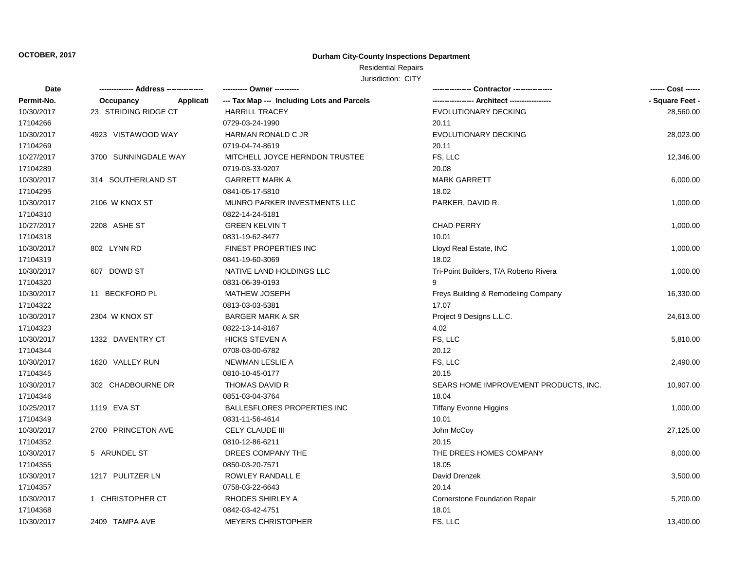## Residential Repairs

| <b>Date</b> |                        | ---------- Owner ----------                |                                        |                 |
|-------------|------------------------|--------------------------------------------|----------------------------------------|-----------------|
| Permit-No.  | Occupancy<br>Applicati | --- Tax Map --- Including Lots and Parcels |                                        | - Square Feet - |
| 10/30/2017  | 23 STRIDING RIDGE CT   | <b>HARRILL TRACEY</b>                      | EVOLUTIONARY DECKING                   | 28,560.00       |
| 17104266    |                        | 0729-03-24-1990                            | 20.11                                  |                 |
| 10/30/2017  | 4923 VISTAWOOD WAY     | <b>HARMAN RONALD C JR</b>                  | <b>EVOLUTIONARY DECKING</b>            | 28,023.00       |
| 17104269    |                        | 0719-04-74-8619                            | 20.11                                  |                 |
| 10/27/2017  | 3700 SUNNINGDALE WAY   | MITCHELL JOYCE HERNDON TRUSTEE             | FS, LLC                                | 12,346.00       |
| 17104289    |                        | 0719-03-33-9207                            | 20.08                                  |                 |
| 10/30/2017  | 314 SOUTHERLAND ST     | <b>GARRETT MARK A</b>                      | <b>MARK GARRETT</b>                    | 6,000.00        |
| 17104295    |                        | 0841-05-17-5810                            | 18.02                                  |                 |
| 10/30/2017  | 2106 W KNOX ST         | MUNRO PARKER INVESTMENTS LLC               | PARKER, DAVID R.                       | 1,000.00        |
| 17104310    |                        | 0822-14-24-5181                            |                                        |                 |
| 10/27/2017  | 2208 ASHE ST           | <b>GREEN KELVIN T</b>                      | <b>CHAD PERRY</b>                      | 1,000.00        |
| 17104318    |                        | 0831-19-62-8477                            | 10.01                                  |                 |
| 10/30/2017  | 802 LYNN RD            | FINEST PROPERTIES INC                      | Lloyd Real Estate, INC                 | 1,000.00        |
| 17104319    |                        | 0841-19-60-3069                            | 18.02                                  |                 |
| 10/30/2017  | 607 DOWD ST            | NATIVE LAND HOLDINGS LLC                   | Tri-Point Builders, T/A Roberto Rivera | 1,000.00        |
| 17104320    |                        | 0831-06-39-0193                            | 9                                      |                 |
| 10/30/2017  | 11 BECKFORD PL         | <b>MATHEW JOSEPH</b>                       | Freys Building & Remodeling Company    | 16,330.00       |
| 17104322    |                        | 0813-03-03-5381                            | 17.07                                  |                 |
| 10/30/2017  | 2304 W KNOX ST         | <b>BARGER MARK A SR</b>                    | Project 9 Designs L.L.C.               | 24,613.00       |
| 17104323    |                        | 0822-13-14-8167                            | 4.02                                   |                 |
| 10/30/2017  | 1332 DAVENTRY CT       | <b>HICKS STEVEN A</b>                      | FS, LLC                                | 5,810.00        |
| 17104344    |                        | 0708-03-00-6782                            | 20.12                                  |                 |
| 10/30/2017  | 1620 VALLEY RUN        | NEWMAN LESLIE A                            | FS, LLC                                | 2,490.00        |
| 17104345    |                        | 0810-10-45-0177                            | 20.15                                  |                 |
| 10/30/2017  | 302 CHADBOURNE DR      | THOMAS DAVID R                             | SEARS HOME IMPROVEMENT PRODUCTS, INC.  | 10,907.00       |
| 17104346    |                        | 0851-03-04-3764                            | 18.04                                  |                 |
| 10/25/2017  | 1119 EVA ST            | <b>BALLESFLORES PROPERTIES INC</b>         | <b>Tiffany Evonne Higgins</b>          | 1,000.00        |
| 17104349    |                        | 0831-11-56-4614                            | 10.01                                  |                 |
| 10/30/2017  | 2700 PRINCETON AVE     | CELY CLAUDE III                            | John McCoy                             | 27,125.00       |
| 17104352    |                        | 0810-12-86-6211                            | 20.15                                  |                 |
| 10/30/2017  | 5 ARUNDEL ST           | DREES COMPANY THE                          | THE DREES HOMES COMPANY                | 8,000.00        |
| 17104355    |                        | 0850-03-20-7571                            | 18.05                                  |                 |
| 10/30/2017  | 1217 PULITZER LN       | ROWLEY RANDALL E                           | David Drenzek                          | 3,500.00        |
| 17104357    |                        | 0758-03-22-6643                            | 20.14                                  |                 |
| 10/30/2017  | 1 CHRISTOPHER CT       | RHODES SHIRLEY A                           | <b>Cornerstone Foundation Repair</b>   | 5,200.00        |
| 17104368    |                        | 0842-03-42-4751                            | 18.01                                  |                 |
| 10/30/2017  | 2409 TAMPA AVE         | <b>MEYERS CHRISTOPHER</b>                  | FS. LLC                                | 13,400.00       |